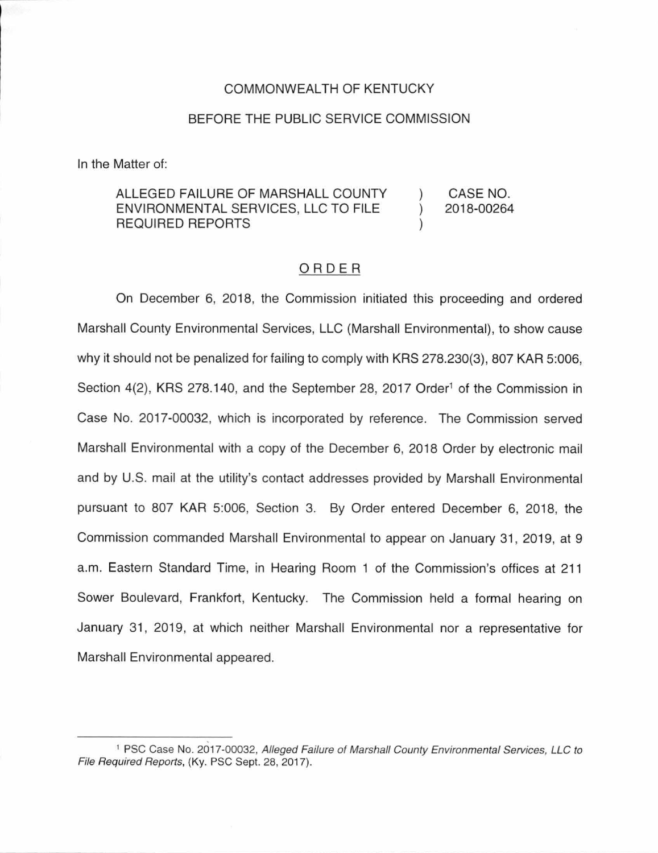### COMMONWEALTH OF KENTUCKY

### BEFORE THE PUBLIC SERVICE COMMISSION

In the Matter of:

#### ALLEGED FAILURE OF MARSHALL COUNTY ENVIRONMENTAL SERVICES, LLC TO FILE REQUIRED REPORTS CASE NO. 2018-00264

## ORDER

On December 6, 2018, the Commission initiated this proceeding and ordered Marshall County Environmental Services, LLC (Marshall Environmental), to show cause why it should not be penalized for failing to comply with KRS 278.230(3), 807 KAR 5:006, Section 4(2), KRS 278.140, and the September 28, 2017 Order<sup>1</sup> of the Commission in Case No. 2017-00032, which is incorporated by reference. The Commission served Marshall Environmental with a copy of the December 6, 2018 Order by electronic mail and by U.S. mail at the utility's contact addresses provided by Marshall Environmental pursuant to 807 KAR 5:006, Section 3. By Order entered December 6, 2018, the Commission commanded Marshall Environmental to appear on January 31, 2019, at 9 a.m. Eastern Standard Time, in Hearing Room 1 of the Commission's offices at 211 Sower Boulevard, Frankfort, Kentucky. The Commission held a formal hearing on January 31, 2019, at which neither Marshall Environmental nor a representative for Marshall Environmental appeared.

<sup>1</sup>PSC Case No. 2017-00032, Alleged Failure of Marshall County Environmental Services, LLC to File Required Reports, (Ky. PSC Sept. 28, 2017).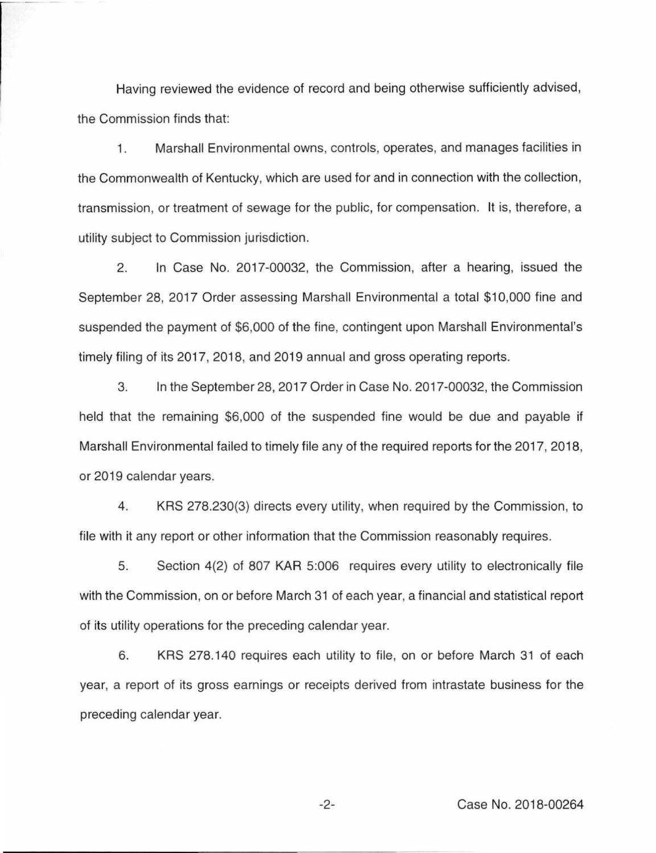Having reviewed the evidence of record and being otherwise sufficiently advised, the Commission finds that:

1 . Marshall Environmental owns, controls, operates, and manages facilities in the Commonwealth of Kentucky, which are used for and in connection with the collection, transmission, or treatment of sewage for the public, for compensation. It is, therefore, a utility subject to Commission jurisdiction.

2. In Case No. 2017-00032, the Commission, after a hearing, issued the September 28, 2017 Order assessing Marshall Environmental a total \$10,000 fine and suspended the payment of \$6,000 of the fine, contingent upon Marshall Environmental's timely filing of its 2017, 2018, and 2019 annual and gross operating reports.

3. In the September 28, 2017 Order in Case No. 2017-00032, the Commission held that the remaining \$6,000 of the suspended fine would be due and payable if Marshall Environmental failed to timely file any of the required reports for the 2017, 2018, or 2019 calendar years.

4. KRS 278.230(3) directs every utility, when required by the Commission, to file with it any report or other information that the Commission reasonably requires.

5. Section 4(2) of 807 KAR 5:006 requires every utility to electronically file with the Commission, on or before March 31 of each year, a financial and statistical report of its utility operations for the preceding calendar year.

6. KRS 278.140 requires each utility to file, on or before March 31 of each year, a report of its gross earnings or receipts derived from intrastate business for the preceding calendar year.

-2- Case No. 2018-00264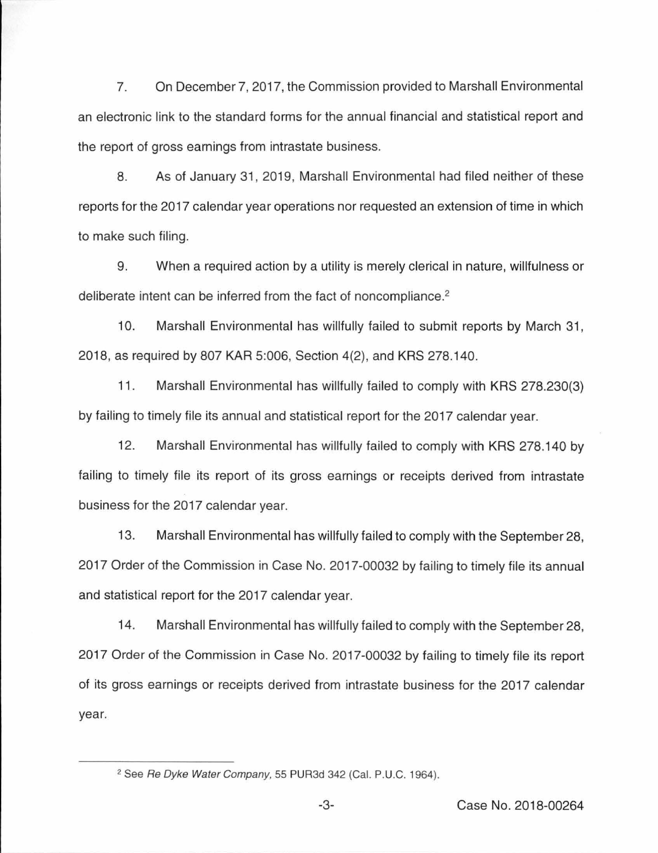7. On December 7, 2017, the Commission provided to Marshall Environmental an electronic link to the standard forms for the annual financial and statistical report and the report of gross earnings from intrastate business.

8. As of January 31, 2019, Marshall Environmental had filed neither of these reports for the 2017 calendar year operations nor requested an extension of time in which to make such filing.

9. When a required action by a utility is merely clerical in nature, willfulness or deliberate intent can be inferred from the fact of noncompliance. 2

10. Marshall Environmental has willfully failed to submit reports by March 31 , 2018, as required by 807 KAR 5:006, Section 4(2), and KRS 278.1 40.

11 . Marshall Environmental has willfully failed to comply with KRS 278.230(3) by failing to timely file its annual and statistical report for the 2017 calendar year.

12. Marshall Environmental has willfully failed to comply with KRS 278.140 by failing to timely file its report of its gross earnings or receipts derived from intrastate business for the 2017 calendar year.

13. Marshall Environmental has willfully failed to comply with the September 28, 2017 Order of the Commission in Case No. 2017-00032 by failing to timely file its annual and statistical report for the 2017 calendar year.

14. Marshall Environmental has willfully failed to comply with the September 28, 2017 Order of the Commission in Case No. 2017-00032 by failing to timely file its report of its gross earnings or receipts derived from intrastate business for the 2017 calendar year.

<sup>&</sup>lt;sup>2</sup> See Re Dyke Water Company, 55 PUR3d 342 (Cal. P.U.C. 1964).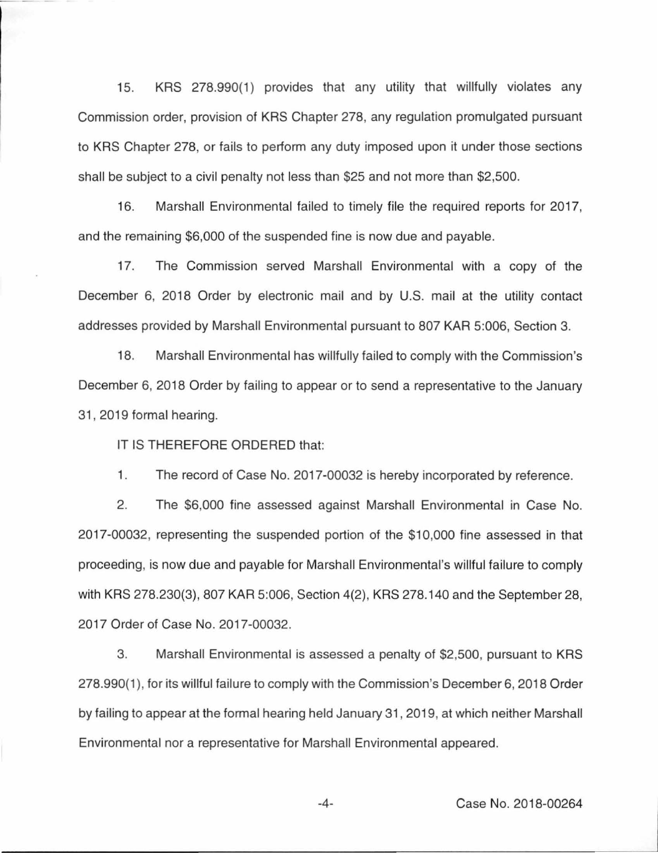15. KRS 278.990(1) provides that any utility that willfully violates any Commission order, provision of KRS Chapter 278, any regulation promulgated pursuant to KRS Chapter 278, or fails to perform any duty imposed upon it under those sections shall be subject to a civil penalty not less than \$25 and not more than \$2,500.

16. Marshall Environmental failed to timely file the required reports for 2017, and the remaining \$6,000 of the suspended fine is now due and payable.

17. The Commission served Marshall Environmental with a copy of the December 6, 2018 Order by electronic mail and by U.S. mail at the utility contact addresses provided by Marshall Environmental pursuant to 807 KAR 5:006, Section 3.

18. Marshall Environmental has willfully failed to comply with the Commission's December 6, 2018 Order by failing to appear or to send a representative to the January 31 , 2019 formal hearing.

IT IS THEREFORE ORDERED that:

1. The record of Case No. 2017-00032 is hereby incorporated by reference.

2. The \$6,000 fine assessed against Marshall Environmental in Case No. 2017-00032, representing the suspended portion of the \$10,000 fine assessed in that proceeding, is now due and payable for Marshall Environmental's willful failure to comply with KRS 278.230(3), 807 KAR 5:006, Section 4(2), KRS 278.140 and the September 28, 2017 Order of Case No. 2017-00032.

3. Marshall Environmental is assessed a penalty of \$2,500, pursuant to KRS 278.990(1 ), for its willful failure to comply with the Commission's December 6, 2018 Order by failing to appear at the formal hearing held January 31 , 2019, at which neither Marshall Environmental nor a representative for Marshall Environmental appeared.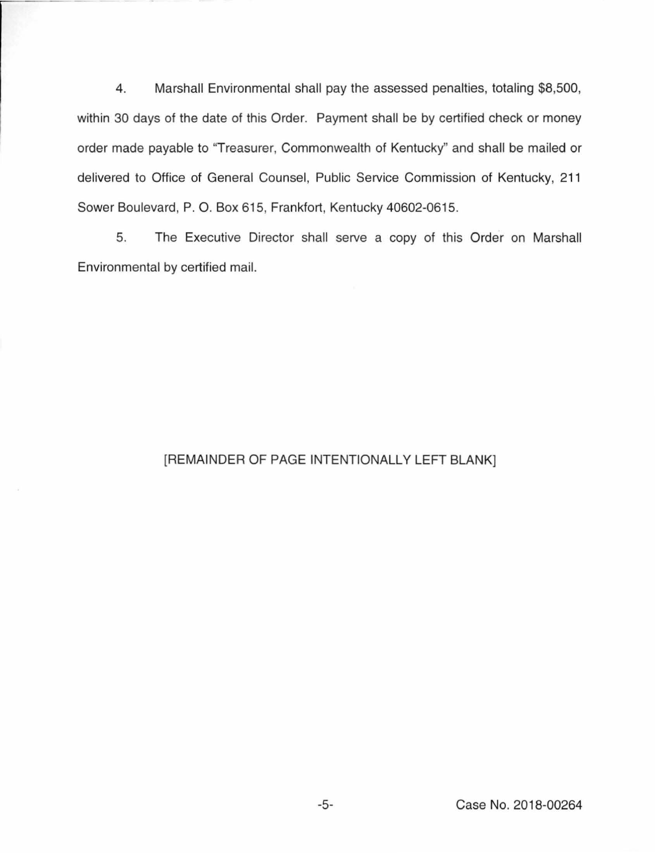4. Marshall Environmental shall pay the assessed penalties, totaling \$8,500, within 30 days of the date of this Order. Payment shall be by certified check or money order made payable to "Treasurer, Commonwealth of Kentucky" and shall be mailed or delivered to Office of General Counsel, Public Service Commission of Kentucky, 211 Sower Boulevard, P. 0. Box 615, Frankfort, Kentucky 40602-0615.

5. The Executive Director shall serve a copy of this Order on Marshall Environmental by certified mail.

# [REMAINDER OF PAGE INTENTIONALLY LEFT BLANK]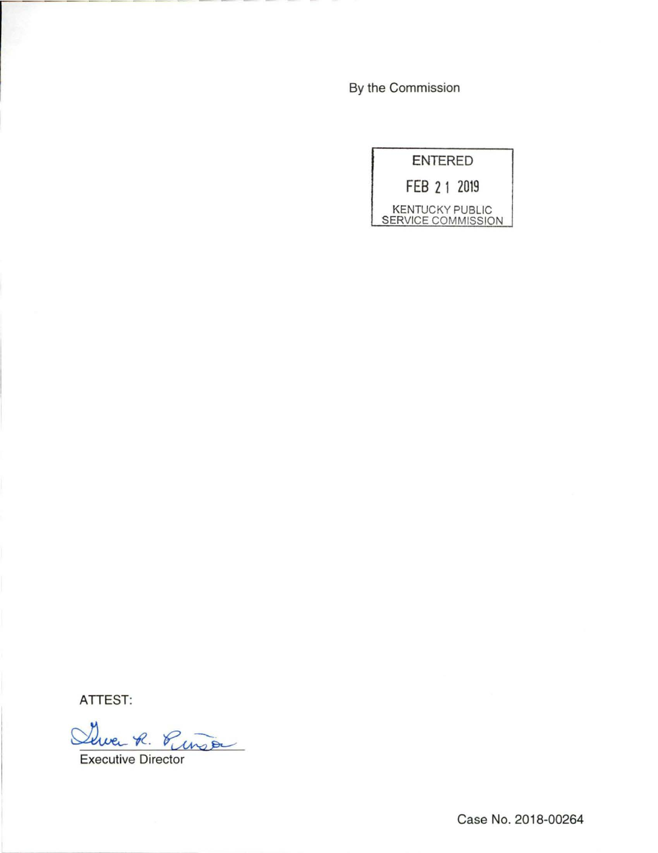By the Commission



ATTEST:

Suver R. Pinso

Case No. 2018-00264